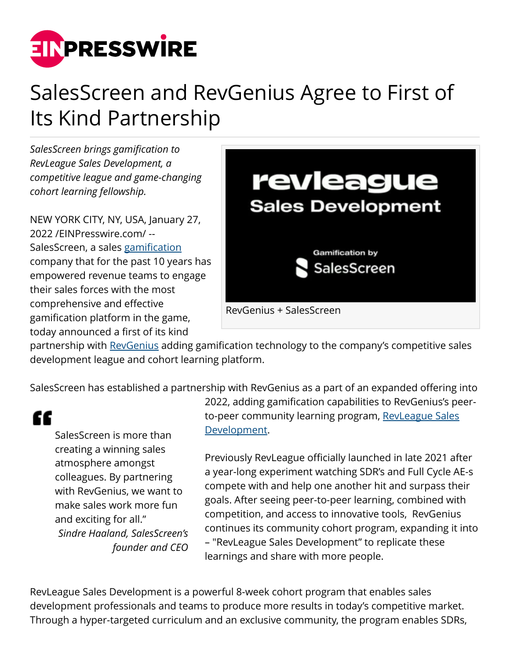

## SalesScreen and RevGenius Agree to First of Its Kind Partnership

*SalesScreen brings gamification to RevLeague Sales Development, a competitive league and game-changing cohort learning fellowship.*

NEW YORK CITY, NY, USA, January 27, 2022 /[EINPresswire.com](http://www.einpresswire.com)/ -- SalesScreen, a sales [gamification](https://www.salesscreen.com/team-motivation) company that for the past 10 years has empowered revenue teams to engage their sales forces with the most comprehensive and effective gamification platform in the game, today announced a first of its kind



partnership with [RevGenius](https://bit.ly/3ICQXig) adding gamification technology to the company's competitive sales development league and cohort learning platform.

SalesScreen has established a partnership with RevGenius as a part of an expanded offering into

"

SalesScreen is more than creating a winning sales atmosphere amongst colleagues. By partnering with RevGenius, we want to make sales work more fun and exciting for all." *Sindre Haaland, SalesScreen's founder and CEO*

2022, adding gamification capabilities to RevGenius's peerto-peer community learning program, [RevLeague Sales](https://bit.ly/3r1wqhs) [Development](https://bit.ly/3r1wqhs).

Previously RevLeague officially launched in late 2021 after a year-long experiment watching SDR's and Full Cycle AE-s compete with and help one another hit and surpass their goals. After seeing peer-to-peer learning, combined with competition, and access to innovative tools, RevGenius continues its community cohort program, expanding it into – "RevLeague Sales Development" to replicate these learnings and share with more people.

RevLeague Sales Development is a powerful 8-week cohort program that enables sales development professionals and teams to produce more results in today's competitive market. Through a hyper-targeted curriculum and an exclusive community, the program enables SDRs,